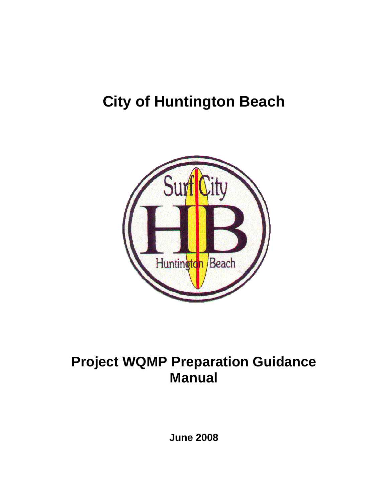# **City of Huntington Beach**



# **Project WQMP Preparation Guidance Manual**

**June 2008**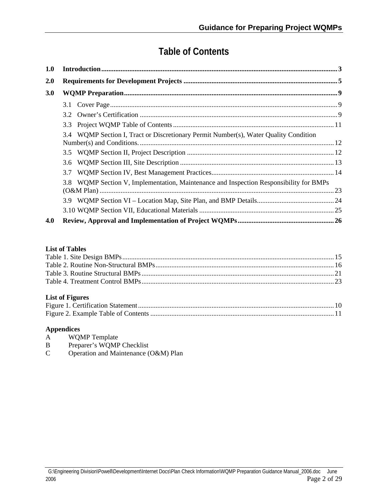## **Table of Contents**

| 1.0        |                                                                                        |  |  |  |
|------------|----------------------------------------------------------------------------------------|--|--|--|
| <b>2.0</b> |                                                                                        |  |  |  |
| <b>3.0</b> |                                                                                        |  |  |  |
|            |                                                                                        |  |  |  |
|            | 3.2                                                                                    |  |  |  |
|            |                                                                                        |  |  |  |
|            | 3.4 WQMP Section I, Tract or Discretionary Permit Number(s), Water Quality Condition   |  |  |  |
|            |                                                                                        |  |  |  |
|            |                                                                                        |  |  |  |
|            | 3.7                                                                                    |  |  |  |
|            | 3.8 WQMP Section V, Implementation, Maintenance and Inspection Responsibility for BMPs |  |  |  |
|            |                                                                                        |  |  |  |
|            |                                                                                        |  |  |  |
| 4.0        |                                                                                        |  |  |  |

#### **List of Tables**

#### **List of Figures**

#### **Appendices**

- A WQMP Template
- B Preparer's WQMP Checklist
- C Operation and Maintenance (O&M) Plan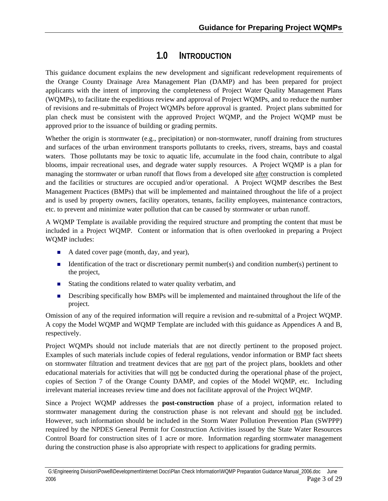## **1.0 INTRODUCTION**

<span id="page-2-0"></span>This guidance document explains the new development and significant redevelopment requirements of the Orange County Drainage Area Management Plan (DAMP) and has been prepared for project applicants with the intent of improving the completeness of Project Water Quality Management Plans (WQMPs), to facilitate the expeditious review and approval of Project WQMPs, and to reduce the number of revisions and re-submittals of Project WQMPs before approval is granted. Project plans submitted for plan check must be consistent with the approved Project WQMP, and the Project WQMP must be approved prior to the issuance of building or grading permits.

Whether the origin is stormwater (e.g., precipitation) or non-stormwater, runoff draining from structures and surfaces of the urban environment transports pollutants to creeks, rivers, streams, bays and coastal waters. Those pollutants may be toxic to aquatic life, accumulate in the food chain, contribute to algal blooms, impair recreational uses, and degrade water supply resources. A Project WQMP is a plan for managing the stormwater or urban runoff that flows from a developed site after construction is completed and the facilities or structures are occupied and/or operational. A Project WQMP describes the Best Management Practices (BMPs) that will be implemented and maintained throughout the life of a project and is used by property owners, facility operators, tenants, facility employees, maintenance contractors, etc. to prevent and minimize water pollution that can be caused by stormwater or urban runoff.

A WQMP Template is available providing the required structure and prompting the content that must be included in a Project WQMP. Content or information that is often overlooked in preparing a Project WQMP includes:

- A dated cover page (month, day, and year),
- Identification of the tract or discretionary permit number(s) and condition number(s) pertinent to the project,
- Stating the conditions related to water quality verbatim, and
- **Describing specifically how BMPs will be implemented and maintained throughout the life of the** project.

Omission of any of the required information will require a revision and re-submittal of a Project WQMP. A copy the Model WQMP and WQMP Template are included with this guidance as Appendices A and B, respectively.

Project WQMPs should not include materials that are not directly pertinent to the proposed project. Examples of such materials include copies of federal regulations, vendor information or BMP fact sheets on stormwater filtration and treatment devices that are not part of the project plans, booklets and other educational materials for activities that will not be conducted during the operational phase of the project, copies of Section 7 of the Orange County DAMP, and copies of the Model WQMP, etc. Including irrelevant material increases review time and does not facilitate approval of the Project WQMP.

Since a Project WQMP addresses the **post-construction** phase of a project, information related to stormwater management during the construction phase is not relevant and should not be included. However, such information should be included in the Storm Water Pollution Prevention Plan (SWPPP) required by the NPDES General Permit for Construction Activities issued by the State Water Resources Control Board for construction sites of 1 acre or more. Information regarding stormwater management during the construction phase is also appropriate with respect to applications for grading permits.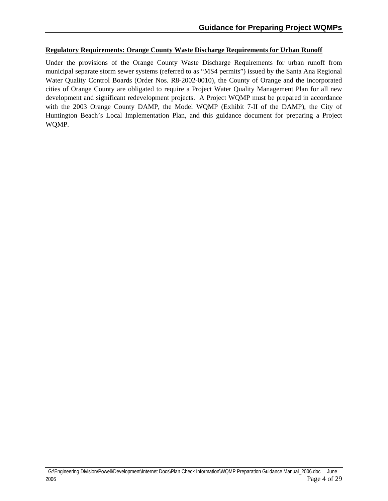#### **Regulatory Requirements: Orange County Waste Discharge Requirements for Urban Runoff**

Under the provisions of the Orange County Waste Discharge Requirements for urban runoff from municipal separate storm sewer systems (referred to as "MS4 permits") issued by the Santa Ana Regional Water Quality Control Boards (Order Nos. R8-2002-0010), the County of Orange and the incorporated cities of Orange County are obligated to require a Project Water Quality Management Plan for all new development and significant redevelopment projects. A Project WQMP must be prepared in accordance with the 2003 Orange County DAMP, the Model WQMP (Exhibit 7-II of the DAMP), the City of Huntington Beach's Local Implementation Plan, and this guidance document for preparing a Project WQMP.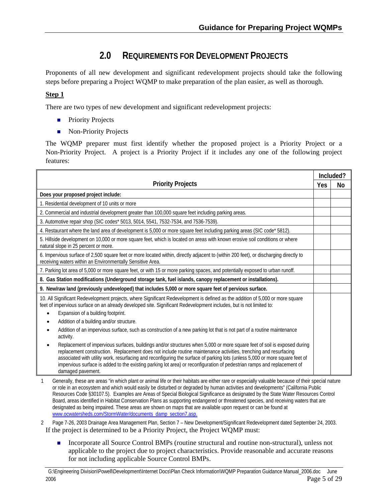## **2.0 REQUIREMENTS FOR DEVELOPMENT PROJECTS**

<span id="page-4-0"></span>Proponents of all new development and significant redevelopment projects should take the following steps before preparing a Project WQMP to make preparation of the plan easier, as well as thorough.

#### **Step 1**

There are two types of new development and significant redevelopment projects:

- **Priority Projects**
- Non-Priority Projects

The WQMP preparer must first identify whether the proposed project is a Priority Project or a Non-Priority Project. A project is a Priority Project if it includes any one of the following project features:

|                                                                                                                                                                                                                                                                                                                                                                                                                                                                                                                                           |  | Included? |  |
|-------------------------------------------------------------------------------------------------------------------------------------------------------------------------------------------------------------------------------------------------------------------------------------------------------------------------------------------------------------------------------------------------------------------------------------------------------------------------------------------------------------------------------------------|--|-----------|--|
| <b>Priority Projects</b>                                                                                                                                                                                                                                                                                                                                                                                                                                                                                                                  |  |           |  |
| Does your proposed project include:                                                                                                                                                                                                                                                                                                                                                                                                                                                                                                       |  |           |  |
| 1. Residential development of 10 units or more                                                                                                                                                                                                                                                                                                                                                                                                                                                                                            |  |           |  |
| 2. Commercial and industrial development greater than 100,000 square feet including parking areas.                                                                                                                                                                                                                                                                                                                                                                                                                                        |  |           |  |
| 3. Automotive repair shop (SIC codes* 5013, 5014, 5541, 7532-7534, and 7536-7539).                                                                                                                                                                                                                                                                                                                                                                                                                                                        |  |           |  |
| 4. Restaurant where the land area of development is 5,000 or more square feet including parking areas (SIC code* 5812).                                                                                                                                                                                                                                                                                                                                                                                                                   |  |           |  |
| 5. Hillside development on 10,000 or more square feet, which is located on areas with known erosive soil conditions or where<br>natural slope in 25 percent or more.                                                                                                                                                                                                                                                                                                                                                                      |  |           |  |
| 6. Impervious surface of 2,500 square feet or more located within, directly adjacent to (within 200 feet), or discharging directly to<br>receiving waters within an Environmentally Sensitive Area.                                                                                                                                                                                                                                                                                                                                       |  |           |  |
| 7. Parking lot area of 5,000 or more square feet, or with 15 or more parking spaces, and potentially exposed to urban runoff.                                                                                                                                                                                                                                                                                                                                                                                                             |  |           |  |
| 8. Gas Station modifications (Underground storage tank, fuel islands, canopy replacement or installations).                                                                                                                                                                                                                                                                                                                                                                                                                               |  |           |  |
| 9. New/raw land (previously undeveloped) that includes 5,000 or more square feet of pervious surface.                                                                                                                                                                                                                                                                                                                                                                                                                                     |  |           |  |
| 10. All Significant Redevelopment projects, where Significant Redevelopment is defined as the addition of 5,000 or more square<br>feet of impervious surface on an already developed site. Significant Redevelopment includes, but is not limited to:                                                                                                                                                                                                                                                                                     |  |           |  |
| Expansion of a building footprint.                                                                                                                                                                                                                                                                                                                                                                                                                                                                                                        |  |           |  |
| Addition of a building and/or structure.<br>Addition of an impervious surface, such as construction of a new parking lot that is not part of a routine maintenance<br>activity.                                                                                                                                                                                                                                                                                                                                                           |  |           |  |
| Replacement of impervious surfaces, buildings and/or structures when 5,000 or more square feet of soil is exposed during<br>$\bullet$<br>replacement construction. Replacement does not include routine maintenance activities, trenching and resurfacing<br>associated with utility work, resurfacing and reconfiguring the surface of parking lots (unless 5,000 or more square feet of<br>impervious surface is added to the existing parking lot area) or reconfiguration of pedestrian ramps and replacement of<br>damaged pavement. |  |           |  |

1 Generally, these are areas "in which plant or animal life or their habitats are either rare or especially valuable because of their special nature or role in an ecosystem and which would easily be disturbed or degraded by human activities and developments" (California Public Resources Code §30107.5). Examples are Areas of Special Biological Significance as designated by the State Water Resources Control Board, areas identified in Habitat Conservation Plans as supporting endangered or threatened species, and receiving waters that are designated as being impaired. These areas are shown on maps that are available upon request or can be found at [www.ocwatersheds.com/StormWater/documents\\_damp\\_section7.asp](http://www.ocwatersheds.com/StormWater/documents_damp_section7.asp).

2 Page 7-26, 2003 Drainage Area Management Plan, Section 7 – New Development/Significant Redevelopment dated September 24, 2003. If the project is determined to be a Priority Project, the Project WQMP must:

Incorporate all Source Control BMPs (routine structural and routine non-structural), unless not applicable to the project due to project characteristics. Provide reasonable and accurate reasons for not including applicable Source Control BMPs. Ē.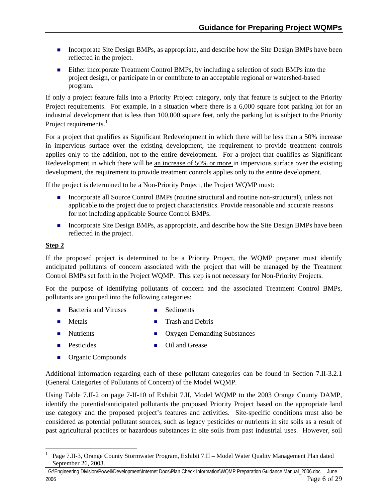- **Incorporate Site Design BMPs, as appropriate, and describe how the Site Design BMPs have been** reflected in the project.
- **Either incorporate Treatment Control BMPs, by including a selection of such BMPs into the** project design, or participate in or contribute to an acceptable regional or watershed-based program.

If only a project feature falls into a Priority Project category, only that feature is subject to the Priority Project requirements. For example, in a situation where there is a 6,000 square foot parking lot for an industrial development that is less than 100,000 square feet, only the parking lot is subject to the Priority Project requirements. $<sup>1</sup>$  $<sup>1</sup>$  $<sup>1</sup>$ </sup>

For a project that qualifies as Significant Redevelopment in which there will be less than a 50% increase in impervious surface over the existing development, the requirement to provide treatment controls applies only to the addition, not to the entire development. For a project that qualifies as Significant Redevelopment in which there will be an increase of 50% or more in impervious surface over the existing development, the requirement to provide treatment controls applies only to the entire development.

If the project is determined to be a Non-Priority Project, the Project WQMP must:

- **Incorporate all Source Control BMPs (routine structural and routine non-structural), unless not** applicable to the project due to project characteristics. Provide reasonable and accurate reasons for not including applicable Source Control BMPs.
- **Incorporate Site Design BMPs, as appropriate, and describe how the Site Design BMPs have been** reflected in the project.

#### **Step 2**

1

If the proposed project is determined to be a Priority Project, the WQMP preparer must identify anticipated pollutants of concern associated with the project that will be managed by the Treatment Control BMPs set forth in the Project WQMP. This step is not necessary for Non-Priority Projects.

For the purpose of identifying pollutants of concern and the associated Treatment Control BMPs, pollutants are grouped into the following categories:

- Bacteria and Viruses Sediments
- $\blacksquare$  Metals  $\blacksquare$ Trash and Debris
- $\blacksquare$  Nutrients Oxygen-Demanding Substances
	- $\blacksquare$  Pesticides  $\blacksquare$ 
		- **Oil and Grease**
	- **Organic Compounds**

Additional information regarding each of these pollutant categories can be found in Section 7.II-3.2.1 (General Categories of Pollutants of Concern) of the Model WQMP.

Using Table 7.II-2 on page 7-II-10 of Exhibit 7.II, Model WQMP to the 2003 Orange County DAMP, identify the potential/anticipated pollutants the proposed Priority Project based on the appropriate land use category and the proposed project's features and activities. Site-specific conditions must also be considered as potential pollutant sources, such as legacy pesticides or nutrients in site soils as a result of past agricultural practices or hazardous substances in site soils from past industrial uses. However, soil

<span id="page-5-0"></span><sup>1</sup> Page 7.II-3, Orange County Stormwater Program, Exhibit 7.II – Model Water Quality Management Plan dated September 26, 2003.

G:\Engineering Division\Powell\Development\Internet Docs\Plan Check Information\WQMP Preparation Guidance Manual\_2006.doc June 2006 Page 6 of 29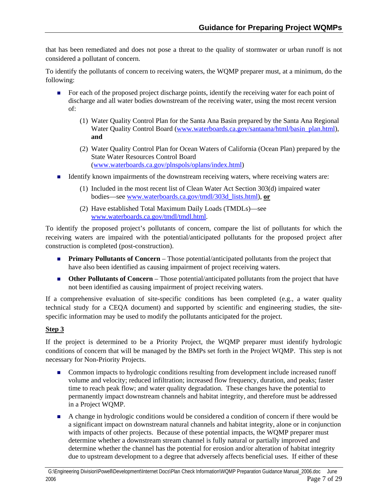that has been remediated and does not pose a threat to the quality of stormwater or urban runoff is not considered a pollutant of concern.

To identify the pollutants of concern to receiving waters, the WQMP preparer must, at a minimum, do the following:

- For each of the proposed project discharge points, identify the receiving water for each point of discharge and all water bodies downstream of the receiving water, using the most recent version of:
	- (1) Water Quality Control Plan for the Santa Ana Basin prepared by the Santa Ana Regional Water Quality Control Board [\(www.waterboards.ca.gov/santaana/html/basin\\_plan.html\)](http://www.waterboards.ca.gov/santaana/html/basin_plan.html), **and**
	- (2) Water Quality Control Plan for Ocean Waters of California (Ocean Plan) prepared by the State Water Resources Control Board ([www.waterboards.ca.gov/plnspols/oplans/index.html\)](http://www.waterboards.ca.gov/plnspols/oplans/index.html)
- Identify known impairments of the downstream receiving waters, where receiving waters are:
	- (1) Included in the most recent list of Clean Water Act Section 303(d) impaired water bodies—see [www.waterboards.ca.gov/tmdl/303d\\_lists.html\)](http://www.waterboards.ca.gov/tmdl/303d_lists.html), **or**
	- (2) Have established Total Maximum Daily Loads (TMDLs)—see [www.waterboards.ca.gov/tmdl/tmdl.html](http://www.waterboards.ca.gov/tmdl/tmdl.html).

To identify the proposed project's pollutants of concern, compare the list of pollutants for which the receiving waters are impaired with the potential/anticipated pollutants for the proposed project after construction is completed (post-construction).

- **Primary Pollutants of Concern** Those potential/anticipated pollutants from the project that have also been identified as causing impairment of project receiving waters.
- **Other Pollutants of Concern** Those potential/anticipated pollutants from the project that have not been identified as causing impairment of project receiving waters.

If a comprehensive evaluation of site-specific conditions has been completed (e.g., a water quality technical study for a CEQA document) and supported by scientific and engineering studies, the sitespecific information may be used to modify the pollutants anticipated for the project.

#### **Step 3**

If the project is determined to be a Priority Project, the WQMP preparer must identify hydrologic conditions of concern that will be managed by the BMPs set forth in the Project WQMP. This step is not necessary for Non-Priority Projects.

- **Common impacts to hydrologic conditions resulting from development include increased runoff** volume and velocity; reduced infiltration; increased flow frequency, duration, and peaks; faster time to reach peak flow; and water quality degradation. These changes have the potential to permanently impact downstream channels and habitat integrity, and therefore must be addressed in a Project WQMP.
- A change in hydrologic conditions would be considered a condition of concern if there would be a significant impact on downstream natural channels and habitat integrity, alone or in conjunction with impacts of other projects. Because of these potential impacts, the WQMP preparer must determine whether a downstream stream channel is fully natural or partially improved and determine whether the channel has the potential for erosion and/or alteration of habitat integrity due to upstream development to a degree that adversely affects beneficial uses. If either of these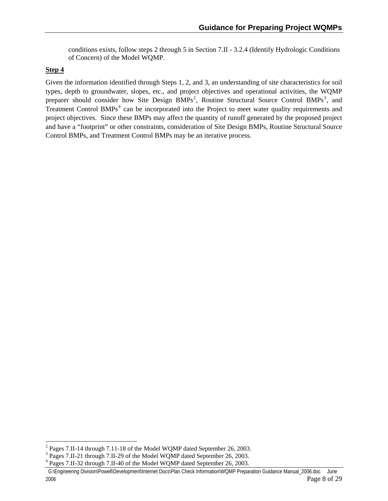conditions exists, follow steps 2 through 5 in Section 7.II - 3.2.4 (Identify Hydrologic Conditions of Concern) of the Model WQMP.

#### **Step 4**

l

Given the information identified through Steps 1, 2, and 3, an understanding of site characteristics for soil types, depth to groundwater, slopes, etc., and project objectives and operational activities, the WQMP preparer should consider how Site Design  $BMPs^2$  $BMPs^2$ , Routine Structural Source Control  $BMPs^3$  $BMPs^3$ , and Treatment Control BMPs<sup>[4](#page-7-2)</sup> can be incorporated into the Project to meet water quality requirements and project objectives. Since these BMPs may affect the quantity of runoff generated by the proposed project and have a "footprint" or other constraints, consideration of Site Design BMPs, Routine Structural Source Control BMPs, and Treatment Control BMPs may be an iterative process.

<span id="page-7-0"></span><sup>&</sup>lt;sup>2</sup> Pages 7.II-14 through 7.11-18 of the Model WQMP dated September 26, 2003.

<span id="page-7-1"></span><sup>&</sup>lt;sup>3</sup> Pages 7.II-21 through 7.II-29 of the Model WQMP dated September 26, 2003.

<span id="page-7-2"></span><sup>&</sup>lt;sup>4</sup> Pages 7.II-32 through 7.II-40 of the Model WQMP dated September 26, 2003.

G:\Engineering Division\Powell\Development\Internet Docs\Plan Check Information\WQMP Preparation Guidance Manual\_2006.doc June 2006 Page 8 of 29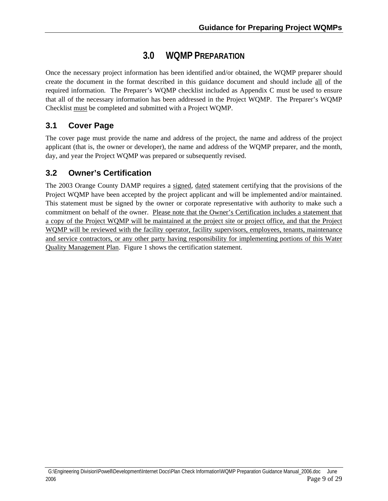## **3.0 WQMP PREPARATION**

<span id="page-8-0"></span>Once the necessary project information has been identified and/or obtained, the WQMP preparer should create the document in the format described in this guidance document and should include all of the required information. The Preparer's WQMP checklist included as Appendix C must be used to ensure that all of the necessary information has been addressed in the Project WQMP. The Preparer's WQMP Checklist must be completed and submitted with a Project WQMP.

## **3.1 Cover Page**

The cover page must provide the name and address of the project, the name and address of the project applicant (that is, the owner or developer), the name and address of the WQMP preparer, and the month, day, and year the Project WQMP was prepared or subsequently revised.

## **3.2 Owner's Certification**

The 2003 Orange County DAMP requires a signed, dated statement certifying that the provisions of the Project WQMP have been accepted by the project applicant and will be implemented and/or maintained. This statement must be signed by the owner or corporate representative with authority to make such a commitment on behalf of the owner. Please note that the Owner's Certification includes a statement that a copy of the Project WQMP will be maintained at the project site or project office, and that the Project WQMP will be reviewed with the facility operator, facility supervisors, employees, tenants, maintenance and service contractors, or any other party having responsibility for implementing portions of this Water Quality Management Plan. Figure 1 shows the certification statement.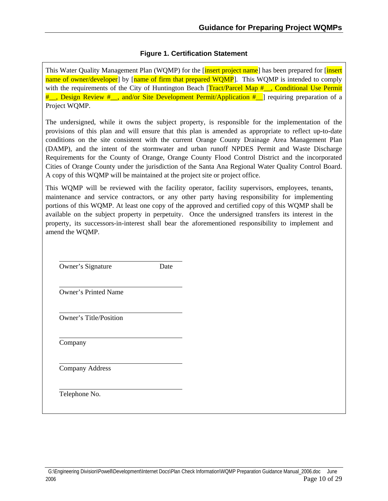#### **Figure 1. Certification Statement**

<span id="page-9-0"></span>This Water Quality Management Plan (WOMP) for the [insert project name] has been prepared for [insert] name of owner/developer] by [name of firm that prepared WOMP]. This WOMP is intended to comply with the requirements of the City of Huntington Beach  $[Tract/Parcel Map # \cdot$ , Conditional Use Permit #<sub>\_\_</sub>, Design Review #<sub>\_\_</sub>, and/or Site Development Permit/Application #\_] requiring preparation of a Project WQMP.

The undersigned, while it owns the subject property, is responsible for the implementation of the provisions of this plan and will ensure that this plan is amended as appropriate to reflect up-to-date conditions on the site consistent with the current Orange County Drainage Area Management Plan (DAMP), and the intent of the stormwater and urban runoff NPDES Permit and Waste Discharge Requirements for the County of Orange, Orange County Flood Control District and the incorporated Cities of Orange County under the jurisdiction of the Santa Ana Regional Water Quality Control Board. A copy of this WQMP will be maintained at the project site or project office.

This WQMP will be reviewed with the facility operator, facility supervisors, employees, tenants, maintenance and service contractors, or any other party having responsibility for implementing portions of this WQMP. At least one copy of the approved and certified copy of this WQMP shall be available on the subject property in perpetuity. Once the undersigned transfers its interest in the property, its successors-in-interest shall bear the aforementioned responsibility to implement and amend the WQMP.

Owner's Signature Date

Owner's Printed Name

Owner's Title/Position

Company

l

 $\overline{a}$ 

l

l

 $\overline{a}$ 

l

Company Address

Telephone No.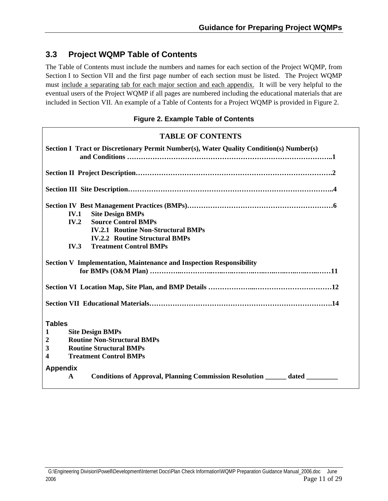## <span id="page-10-0"></span>**3.3 Project WQMP Table of Contents**

The Table of Contents must include the numbers and names for each section of the Project WQMP, from Section I to Section VII and the first page number of each section must be listed. The Project WQMP must include a separating tab for each major section and each appendix. It will be very helpful to the eventual users of the Project WQMP if all pages are numbered including the educational materials that are included in Section VII. An example of a Table of Contents for a Project WQMP is provided in Figure 2.

#### **Figure 2. Example Table of Contents**

## **TABLE OF CONTENTS Section I Tract or Discretionary Permit Number(s), Water Quality Condition(s) Number(s) and Conditions ……………………………………………………………………………..1 Section II Project Description………………………………………………………………………….2 Section III Site Description……………………………………………………………………………..4 Section IV Best Management Practices (BMPs)………………………………………………………6 IV.1 Site Design BMPs IV.2 Source Control BMPs IV.2.1 Routine Non-Structural BMPs IV.2.2 Routine Structural BMPs IV.3 Treatment Control BMPs Section V Implementation, Maintenance and Inspection Responsibility for BMPs (O&M Plan) …………..…………..…..…..…..…..…..…..…..…..…..…..……11 Section VI Location Map, Site Plan, and BMP Details ………………...……………………………12 Section VII Educational Materials…………………………………………………………………….14 Tables 1 Site Design BMPs 2 Routine Non-Structural BMPs 3 Routine Structural BMPs 4 Treatment Control BMPs Appendix A Conditions of Approval, Planning Commission Resolution \_\_\_\_\_\_ dated \_\_\_\_\_\_\_\_\_**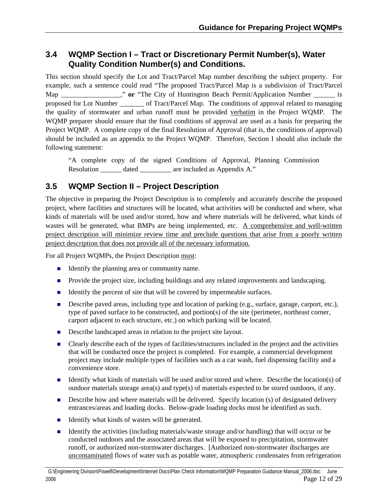### <span id="page-11-0"></span>**3.4 WQMP Section I – Tract or Discretionary Permit Number(s), Water Quality Condition Number(s) and Conditions.**

This section should specify the Lot and Tract/Parcel Map number describing the subject property. For example, such a sentence could read "The proposed Tract/Parcel Map is a subdivision of Tract/Parcel Map The City of Huntington Beach Permit/Application Number is proposed for Lot Number \_\_\_\_\_\_\_ of Tract/Parcel Map. The conditions of approval related to managing the quality of stormwater and urban runoff must be provided verbatim in the Project WQMP. The WQMP preparer should ensure that the final conditions of approval are used as a basis for preparing the Project WQMP. A complete copy of the final Resolution of Approval (that is, the conditions of approval) should be included as an appendix to the Project WQMP. Therefore, Section I should also include the following statement:

"A complete copy of the signed Conditions of Approval, Planning Commission Resolution dated are included as Appendix A."

## **3.5 WQMP Section II – Project Description**

The objective in preparing the Project Description is to completely and accurately describe the proposed project, where facilities and structures will be located, what activities will be conducted and where, what kinds of materials will be used and/or stored, how and where materials will be delivered, what kinds of wastes will be generated, what BMPs are being implemented, etc. A comprehensive and well-written project description will minimize review time and preclude questions that arise from a poorly written project description that does not provide all of the necessary information.

For all Project WQMPs, the Project Description must:

- Identify the planning area or community name.
- **Provide the project size, including buildings and any related improvements and landscaping.**
- Identify the percent of site that will be covered by impermeable surfaces.
- Describe paved areas, including type and location of parking (e.g., surface, garage, carport, etc.), type of paved surface to be constructed, and portion(s) of the site (perimeter, northeast corner, carport adjacent to each structure, etc.) on which parking will be located.
- Describe landscaped areas in relation to the project site layout.
- **EXECUTE:** Clearly describe each of the types of facilities/structures included in the project and the activities that will be conducted once the project is completed. For example, a commercial development project may include multiple types of facilities such as a car wash, fuel dispensing facility and a convenience store.
- Identify what kinds of materials will be used and/or stored and where. Describe the location(s) of outdoor materials storage area(s) and type(s) of materials expected to be stored outdoors, if any.
- $\blacksquare$  Describe how and where materials will be delivered. Specify location (s) of designated delivery entrances/areas and loading docks. Below-grade loading docks must be identified as such.
- Identify what kinds of wastes will be generated.
- Identify the activities (including materials/waste storage and/or handling) that will occur or be conducted outdoors and the associated areas that will be exposed to precipitation, stormwater runoff, or authorized non-stormwater discharges. [Authorized non-stormwater discharges are uncontaminated flows of water such as potable water, atmospheric condensates from refrigeration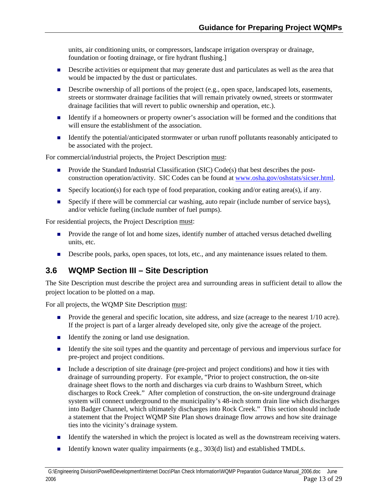<span id="page-12-0"></span>units, air conditioning units, or compressors, landscape irrigation overspray or drainage, foundation or footing drainage, or fire hydrant flushing.]

- **Describe activities or equipment that may generate dust and particulates as well as the area that** would be impacted by the dust or particulates.
- Describe ownership of all portions of the project (e.g., open space, landscaped lots, easements, streets or stormwater drainage facilities that will remain privately owned, streets or stormwater drainage facilities that will revert to public ownership and operation, etc.).
- Identify if a homeowners or property owner's association will be formed and the conditions that will ensure the establishment of the association.
- Identify the potential/anticipated stormwater or urban runoff pollutants reasonably anticipated to be associated with the project.

For commercial/industrial projects, the Project Description must:

- **Provide the Standard Industrial Classification (SIC) Code(s) that best describes the post**construction operation/activity. SIC Codes can be found at [www.osha.gov/oshstats/sicser.html](http://www.osha.gov/oshstats/sicser.html).
- Specify location(s) for each type of food preparation, cooking and/or eating area(s), if any.
- Specify if there will be commercial car washing, auto repair (include number of service bays), and/or vehicle fueling (include number of fuel pumps).

For residential projects, the Project Description must:

- **Provide the range of lot and home sizes, identify number of attached versus detached dwelling** units, etc.
- Describe pools, parks, open spaces, tot lots, etc., and any maintenance issues related to them.

### **3.6 WQMP Section III – Site Description**

The Site Description must describe the project area and surrounding areas in sufficient detail to allow the project location to be plotted on a map.

For all projects, the WQMP Site Description must:

- **Provide the general and specific location, site address, and size (acreage to the nearest 1/10 acre).** If the project is part of a larger already developed site, only give the acreage of the project.
- Identify the zoning or land use designation.
- Identify the site soil types and the quantity and percentage of pervious and impervious surface for pre-project and project conditions.
- Include a description of site drainage (pre-project and project conditions) and how it ties with drainage of surrounding property. For example, "Prior to project construction, the on-site drainage sheet flows to the north and discharges via curb drains to Washburn Street, which discharges to Rock Creek." After completion of construction, the on-site underground drainage system will connect underground to the municipality's 48-inch storm drain line which discharges into Badger Channel, which ultimately discharges into Rock Creek." This section should include a statement that the Project WQMP Site Plan shows drainage flow arrows and how site drainage ties into the vicinity's drainage system.
- Identify the watershed in which the project is located as well as the downstream receiving waters.
- Ξ Identify known water quality impairments (e.g., 303(d) list) and established TMDLs.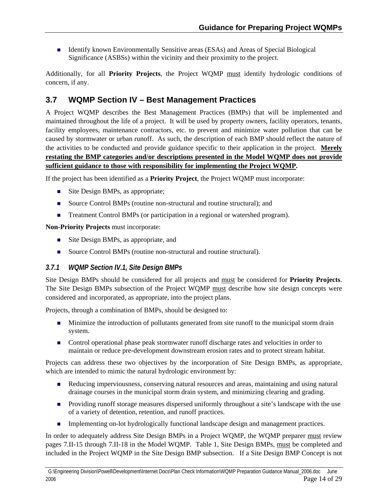<span id="page-13-0"></span>**IDENTIFY CONTENT IS A LOCAL EXALGE IS A LOCAL EXAS** And Areas of Special Biological Significance (ASBSs) within the vicinity and their proximity to the project.

Additionally, for all **Priority Projects**, the Project WQMP must identify hydrologic conditions of concern, if any.

## **3.7 WQMP Section IV – Best Management Practices**

A Project WQMP describes the Best Management Practices (BMPs) that will be implemented and maintained throughout the life of a project. It will be used by property owners, facility operators, tenants, facility employees, maintenance contractors, etc. to prevent and minimize water pollution that can be caused by stormwater or urban runoff. As such, the description of each BMP should reflect the nature of the activities to be conducted and provide guidance specific to their application in the project. **Merely restating the BMP categories and/or descriptions presented in the Model WQMP does not provide sufficient guidance to those with responsibility for implementing the Project WQMP.** 

If the project has been identified as a **Priority Project**, the Project WQMP must incorporate:

- Site Design BMPs, as appropriate;
- Source Control BMPs (routine non-structural and routine structural); and
- Treatment Control BMPs (or participation in a regional or watershed program).

**Non-Priority Projects** must incorporate:

- Site Design BMPs, as appropriate, and
- Source Control BMPs (routine non-structural and routine structural).

## *3.7.1 WQMP Section IV.1, Site Design BMPs*

Site Design BMPs should be considered for all projects and must be considered for **Priority Projects**. The Site Design BMPs subsection of the Project WQMP must describe how site design concepts were considered and incorporated, as appropriate, into the project plans.

Projects, through a combination of BMPs, should be designed to:

- **Minimize the introduction of pollutants generated from site runoff to the municipal storm drain** system.
- **Control operational phase peak stormwater runoff discharge rates and velocities in order to** maintain or reduce pre-development downstream erosion rates and to protect stream habitat.

Projects can address these two objectives by the incorporation of Site Design BMPs, as appropriate, which are intended to mimic the natural hydrologic environment by:

- Reducing imperviousness, conserving natural resources and areas, maintaining and using natural drainage courses in the municipal storm drain system, and minimizing clearing and grading.
- **Providing runoff storage measures dispersed uniformly throughout a site's landscape with the use** of a variety of detention, retention, and runoff practices.
- **Implementing on-lot hydrologically functional landscape design and management practices.**

In order to adequately address Site Design BMPs in a Project WQMP, the WQMP preparer must review pages 7.II-15 through 7.II-18 in the Model WQMP. Table 1, Site Design BMPs, must be completed and included in the Project WQMP in the Site Design BMP subsection. If a Site Design BMP Concept is not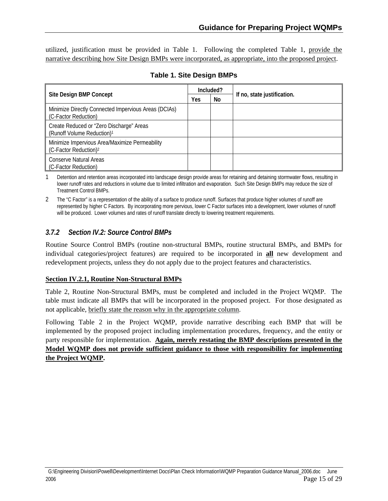<span id="page-14-0"></span>utilized, justification must be provided in Table 1. Following the completed Table 1, provide the narrative describing how Site Design BMPs were incorporated, as appropriate, into the proposed project.

| Site Design BMP Concept                                                             |  | Included? |                             |
|-------------------------------------------------------------------------------------|--|-----------|-----------------------------|
|                                                                                     |  | No        | If no, state justification. |
| Minimize Directly Connected Impervious Areas (DCIAs)<br>(C-Factor Reduction)        |  |           |                             |
| Create Reduced or "Zero Discharge" Areas<br>(Runoff Volume Reduction) <sup>1</sup>  |  |           |                             |
| Minimize Impervious Area/Maximize Permeability<br>(C-Factor Reduction) <sup>2</sup> |  |           |                             |
| Conserve Natural Areas<br>(C-Factor Reduction)                                      |  |           |                             |

Detention and retention areas incorporated into landscape design provide areas for retaining and detaining stormwater flows, resulting in lower runoff rates and reductions in volume due to limited infiltration and evaporation. Such Site Design BMPs may reduce the size of Treatment Control BMPs.

2 The "C Factor" is a representation of the ability of a surface to produce runoff. Surfaces that produce higher volumes of runoff are represented by higher C Factors. By incorporating more pervious, lower C Factor surfaces into a development, lower volumes of runoff will be produced. Lower volumes and rates of runoff translate directly to lowering treatment requirements.

#### *3.7.2 Section IV.2: Source Control BMPs*

Routine Source Control BMPs (routine non-structural BMPs, routine structural BMPs, and BMPs for individual categories/project features) are required to be incorporated in **all** new development and redevelopment projects, unless they do not apply due to the project features and characteristics.

#### **Section IV.2.1, Routine Non-Structural BMPs**

Table 2, Routine Non-Structural BMPs, must be completed and included in the Project WQMP. The table must indicate all BMPs that will be incorporated in the proposed project. For those designated as not applicable, briefly state the reason why in the appropriate column.

Following Table 2 in the Project WQMP, provide narrative describing each BMP that will be implemented by the proposed project including implementation procedures, frequency, and the entity or party responsible for implementation. **Again, merely restating the BMP descriptions presented in the Model WQMP does not provide sufficient guidance to those with responsibility for implementing the Project WQMP.**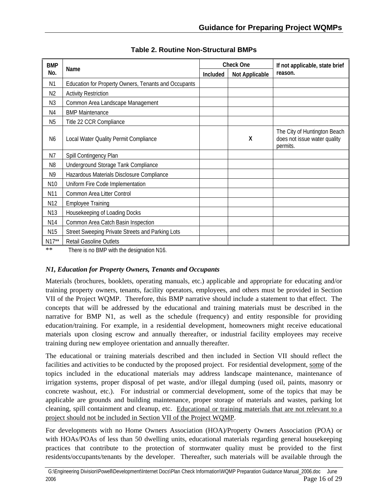<span id="page-15-0"></span>

| <b>BMP</b>      |                                                      |          | <b>Check One</b> | If not applicable, state brief                                           |
|-----------------|------------------------------------------------------|----------|------------------|--------------------------------------------------------------------------|
| No.             | Name                                                 | Included | Not Applicable   | reason.                                                                  |
| N1              | Education for Property Owners, Tenants and Occupants |          |                  |                                                                          |
| N <sub>2</sub>  | <b>Activity Restriction</b>                          |          |                  |                                                                          |
| N <sub>3</sub>  | Common Area Landscape Management                     |          |                  |                                                                          |
| N4              | <b>BMP Maintenance</b>                               |          |                  |                                                                          |
| N <sub>5</sub>  | Title 22 CCR Compliance                              |          |                  |                                                                          |
| N <sub>6</sub>  | Local Water Quality Permit Compliance                |          | X                | The City of Huntington Beach<br>does not issue water quality<br>permits. |
| N7              | Spill Contingency Plan                               |          |                  |                                                                          |
| N <sub>8</sub>  | Underground Storage Tank Compliance                  |          |                  |                                                                          |
| N9              | Hazardous Materials Disclosure Compliance            |          |                  |                                                                          |
| N <sub>10</sub> | Uniform Fire Code Implementation                     |          |                  |                                                                          |
| N11             | Common Area Litter Control                           |          |                  |                                                                          |
| N12             | <b>Employee Training</b>                             |          |                  |                                                                          |
| N13             | Housekeeping of Loading Docks                        |          |                  |                                                                          |
| N14             | Common Area Catch Basin Inspection                   |          |                  |                                                                          |
| N <sub>15</sub> | Street Sweeping Private Streets and Parking Lots     |          |                  |                                                                          |
| $N17**$         | <b>Retail Gasoline Outlets</b>                       |          |                  |                                                                          |

**Table 2. Routine Non-Structural BMPs** 

\*\* There is no BMP with the designation N16.

#### *N1, Education for Property Owners, Tenants and Occupants*

Materials (brochures, booklets, operating manuals, etc.) applicable and appropriate for educating and/or training property owners, tenants, facility operators, employees, and others must be provided in Section VII of the Project WQMP. Therefore, this BMP narrative should include a statement to that effect. The concepts that will be addressed by the educational and training materials must be described in the narrative for BMP N1, as well as the schedule (frequency) and entity responsible for providing education/training. For example, in a residential development, homeowners might receive educational materials upon closing escrow and annually thereafter, or industrial facility employees may receive training during new employee orientation and annually thereafter.

The educational or training materials described and then included in Section VII should reflect the facilities and activities to be conducted by the proposed project. For residential development, some of the topics included in the educational materials may address landscape maintenance, maintenance of irrigation systems, proper disposal of pet waste, and/or illegal dumping (used oil, paints, masonry or concrete washout, etc.). For industrial or commercial development, some of the topics that may be applicable are grounds and building maintenance, proper storage of materials and wastes, parking lot cleaning, spill containment and cleanup, etc. Educational or training materials that are not relevant to a project should not be included in Section VII of the Project WQMP.

For developments with no Home Owners Association (HOA)/Property Owners Association (POA) or with HOAs/POAs of less than 50 dwelling units, educational materials regarding general housekeeping practices that contribute to the protection of stormwater quality must be provided to the first residents/occupants/tenants by the developer. Thereafter, such materials will be available through the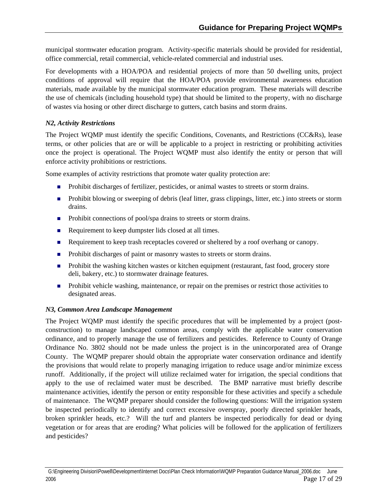municipal stormwater education program. Activity-specific materials should be provided for residential, office commercial, retail commercial, vehicle-related commercial and industrial uses.

For developments with a HOA/POA and residential projects of more than 50 dwelling units, project conditions of approval will require that the HOA/POA provide environmental awareness education materials, made available by the municipal stormwater education program. These materials will describe the use of chemicals (including household type) that should be limited to the property, with no discharge of wastes via hosing or other direct discharge to gutters, catch basins and storm drains.

#### *N2, Activity Restrictions*

The Project WQMP must identify the specific Conditions, Covenants, and Restrictions (CC&Rs), lease terms, or other policies that are or will be applicable to a project in restricting or prohibiting activities once the project is operational. The Project WQMP must also identify the entity or person that will enforce activity prohibitions or restrictions.

Some examples of activity restrictions that promote water quality protection are:

- **Prohibit discharges of fertilizer, pesticides, or animal wastes to streets or storm drains.**
- **Prohibit blowing or sweeping of debris (leaf litter, grass clippings, litter, etc.) into streets or storm** drains.
- **Prohibit connections of pool/spa drains to streets or storm drains.**
- Requirement to keep dumpster lids closed at all times.
- Requirement to keep trash receptacles covered or sheltered by a roof overhang or canopy.
- **Prohibit discharges of paint or masonry wastes to streets or storm drains.**
- **Prohibit the washing kitchen wastes or kitchen equipment (restaurant, fast food, grocery store** deli, bakery, etc.) to stormwater drainage features.
- **Prohibit vehicle washing, maintenance, or repair on the premises or restrict those activities to** designated areas.

#### *N3, Common Area Landscape Management*

The Project WQMP must identify the specific procedures that will be implemented by a project (postconstruction) to manage landscaped common areas, comply with the applicable water conservation ordinance, and to properly manage the use of fertilizers and pesticides. Reference to County of Orange Ordinance No. 3802 should not be made unless the project is in the unincorporated area of Orange County. The WQMP preparer should obtain the appropriate water conservation ordinance and identify the provisions that would relate to properly managing irrigation to reduce usage and/or minimize excess runoff. Additionally, if the project will utilize reclaimed water for irrigation, the special conditions that apply to the use of reclaimed water must be described. The BMP narrative must briefly describe maintenance activities, identify the person or entity responsible for these activities and specify a schedule of maintenance. The WQMP preparer should consider the following questions: Will the irrigation system be inspected periodically to identify and correct excessive overspray, poorly directed sprinkler heads, broken sprinkler heads, etc.? Will the turf and planters be inspected periodically for dead or dying vegetation or for areas that are eroding? What policies will be followed for the application of fertilizers and pesticides?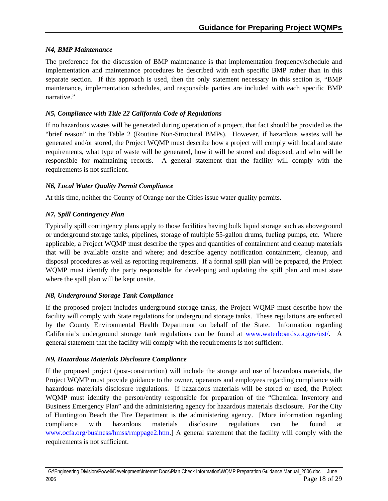#### *N4, BMP Maintenance*

The preference for the discussion of BMP maintenance is that implementation frequency/schedule and implementation and maintenance procedures be described with each specific BMP rather than in this separate section. If this approach is used, then the only statement necessary in this section is, "BMP maintenance, implementation schedules, and responsible parties are included with each specific BMP narrative."

#### *N5, Compliance with Title 22 California Code of Regulations*

If no hazardous wastes will be generated during operation of a project, that fact should be provided as the "brief reason" in the Table 2 (Routine Non-Structural BMPs). However, if hazardous wastes will be generated and/or stored, the Project WQMP must describe how a project will comply with local and state requirements, what type of waste will be generated, how it will be stored and disposed, and who will be responsible for maintaining records. A general statement that the facility will comply with the requirements is not sufficient.

#### *N6, Local Water Quality Permit Compliance*

At this time, neither the County of Orange nor the Cities issue water quality permits.

#### *N7, Spill Contingency Plan*

Typically spill contingency plans apply to those facilities having bulk liquid storage such as aboveground or underground storage tanks, pipelines, storage of multiple 55-gallon drums, fueling pumps, etc. Where applicable, a Project WQMP must describe the types and quantities of containment and cleanup materials that will be available onsite and where; and describe agency notification containment, cleanup, and disposal procedures as well as reporting requirements. If a formal spill plan will be prepared, the Project WOMP must identify the party responsible for developing and updating the spill plan and must state where the spill plan will be kept onsite.

#### *N8, Underground Storage Tank Compliance*

If the proposed project includes underground storage tanks, the Project WQMP must describe how the facility will comply with State regulations for underground storage tanks. These regulations are enforced by the County Environmental Health Department on behalf of the State. Information regarding California's underground storage tank regulations can be found at [www.waterboards.ca.gov/ust/.](http://www.waterboards.ca.gov/ust/) A general statement that the facility will comply with the requirements is not sufficient.

#### *N9, Hazardous Materials Disclosure Compliance*

If the proposed project (post-construction) will include the storage and use of hazardous materials, the Project WQMP must provide guidance to the owner, operators and employees regarding compliance with hazardous materials disclosure regulations. If hazardous materials will be stored or used, the Project WOMP must identify the person/entity responsible for preparation of the "Chemical Inventory and Business Emergency Plan" and the administering agency for hazardous materials disclosure. For the City of Huntington Beach the Fire Department is the administering agency. [More information regarding compliance with hazardous materials disclosure regulations can be found at [www.ocfa.org/business/hmss/rmppage2.htm.](http://www.ocfa.org/business/hmss/rmppage2.htm)] A general statement that the facility will comply with the requirements is not sufficient.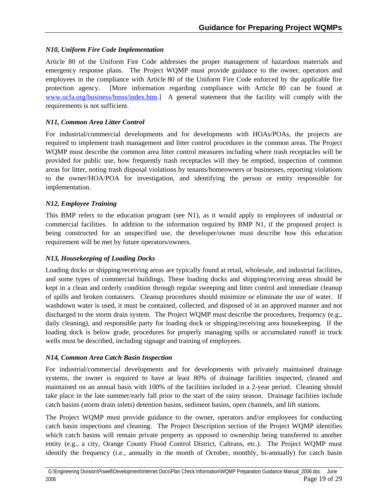#### *N10, Uniform Fire Code Implementation*

Article 80 of the Uniform Fire Code addresses the proper management of hazardous materials and emergency response plans. The Project WQMP must provide guidance to the owner, operators and employees in the compliance with Article 80 of the Uniform Fire Code enforced by the applicable fire protection agency. [More information regarding compliance with Article 80 can be found at [www.ocfa.org/business/hmss/index.htm](http://www.ocfa.org/business/hmss/index.htm).] A general statement that the facility will comply with the requirements is not sufficient.

#### *N11, Common Area Litter Control*

For industrial/commercial developments and for developments with HOAs/POAs, the projects are required to implement trash management and litter control procedures in the common areas. The Project WQMP must describe the common area litter control measures including where trash receptacles will be provided for public use, how frequently trash receptacles will they be emptied, inspection of common areas for litter, noting trash disposal violations by tenants/homeowners or businesses, reporting violations to the owner/HOA/POA for investigation, and identifying the person or entity responsible for implementation.

#### *N12, Employee Training*

This BMP refers to the education program (see N1), as it would apply to employees of industrial or commercial facilities. In addition to the information required by BMP N1, if the proposed project is being constructed for an unspecified use, the developer/owner must describe how this education requirement will be met by future operators/owners.

#### *N13, Housekeeping of Loading Docks*

Loading docks or shipping/receiving areas are typically found at retail, wholesale, and industrial facilities, and some types of commercial buildings. These loading docks and shipping/receiving areas should be kept in a clean and orderly condition through regular sweeping and litter control and immediate cleanup of spills and broken containers. Cleanup procedures should minimize or eliminate the use of water. If washdown water is used, it must be contained, collected, and disposed of in an approved manner and not discharged to the storm drain system. The Project WQMP must describe the procedures, frequency (e.g., daily cleaning), and responsible party for loading dock or shipping/receiving area housekeeping. If the loading dock is below grade, procedures for properly managing spills or accumulated runoff in truck wells must be described, including signage and training of employees.

#### *N14, Common Area Catch Basin Inspection*

For industrial/commercial developments and for developments with privately maintained drainage systems, the owner is required to have at least 80% of drainage facilities inspected, cleaned and maintained on an annual basis with 100% of the facilities included in a 2-year period. Cleaning should take place in the late summer/early fall prior to the start of the rainy season. Drainage facilities include catch basins (storm drain inlets) detention basins, sediment basins, open channels, and lift stations.

The Project WQMP must provide guidance to the owner, operators and/or employees for conducting catch basin inspections and cleaning. The Project Description section of the Project WQMP identifies which catch basins will remain private property as opposed to ownership being transferred to another entity (e.g., a city, Orange County Flood Control District, Caltrans, etc.). The Project WQMP must identify the frequency (i.e., annually in the month of October, monthly, bi-annually) for catch basin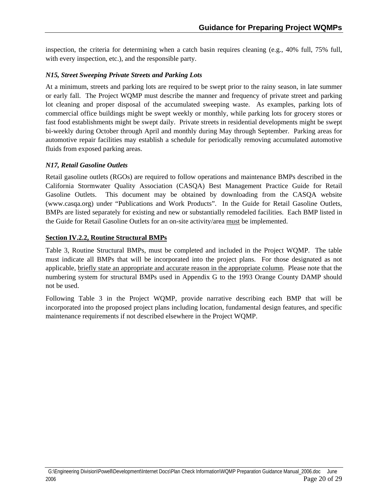inspection, the criteria for determining when a catch basin requires cleaning (e.g., 40% full, 75% full, with every inspection, etc.), and the responsible party.

#### *N15, Street Sweeping Private Streets and Parking Lots*

At a minimum, streets and parking lots are required to be swept prior to the rainy season, in late summer or early fall. The Project WQMP must describe the manner and frequency of private street and parking lot cleaning and proper disposal of the accumulated sweeping waste. As examples, parking lots of commercial office buildings might be swept weekly or monthly, while parking lots for grocery stores or fast food establishments might be swept daily. Private streets in residential developments might be swept bi-weekly during October through April and monthly during May through September. Parking areas for automotive repair facilities may establish a schedule for periodically removing accumulated automotive fluids from exposed parking areas.

#### *N17, Retail Gasoline Outlets*

Retail gasoline outlets (RGOs) are required to follow operations and maintenance BMPs described in the California Stormwater Quality Association (CASQA) Best Management Practice Guide for Retail Gasoline Outlets. This document may be obtained by downloading from the CASQA website (www.casqa.org) under "Publications and Work Products". In the Guide for Retail Gasoline Outlets, BMPs are listed separately for existing and new or substantially remodeled facilities. Each BMP listed in the Guide for Retail Gasoline Outlets for an on-site activity/area must be implemented.

#### **Section IV.2.2, Routine Structural BMPs**

Table 3, Routine Structural BMPs, must be completed and included in the Project WQMP. The table must indicate all BMPs that will be incorporated into the project plans. For those designated as not applicable, briefly state an appropriate and accurate reason in the appropriate column. Please note that the numbering system for structural BMPs used in Appendix G to the 1993 Orange County DAMP should not be used.

Following Table 3 in the Project WQMP, provide narrative describing each BMP that will be incorporated into the proposed project plans including location, fundamental design features, and specific maintenance requirements if not described elsewhere in the Project WQMP.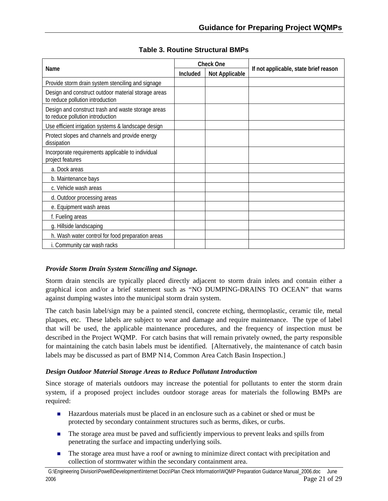<span id="page-20-0"></span>

|                                                                                         |                 | <b>Check One</b>      |                                       |
|-----------------------------------------------------------------------------------------|-----------------|-----------------------|---------------------------------------|
| Name                                                                                    | <b>Included</b> | <b>Not Applicable</b> | If not applicable, state brief reason |
| Provide storm drain system stenciling and signage                                       |                 |                       |                                       |
| Design and construct outdoor material storage areas<br>to reduce pollution introduction |                 |                       |                                       |
| Design and construct trash and waste storage areas<br>to reduce pollution introduction  |                 |                       |                                       |
| Use efficient irrigation systems & landscape design                                     |                 |                       |                                       |
| Protect slopes and channels and provide energy<br>dissipation                           |                 |                       |                                       |
| Incorporate requirements applicable to individual<br>project features                   |                 |                       |                                       |
| a. Dock areas                                                                           |                 |                       |                                       |
| b. Maintenance bays                                                                     |                 |                       |                                       |
| c. Vehicle wash areas                                                                   |                 |                       |                                       |
| d. Outdoor processing areas                                                             |                 |                       |                                       |
| e. Equipment wash areas                                                                 |                 |                       |                                       |
| f. Fueling areas                                                                        |                 |                       |                                       |
| g. Hillside landscaping                                                                 |                 |                       |                                       |
| h. Wash water control for food preparation areas                                        |                 |                       |                                       |
| i. Community car wash racks                                                             |                 |                       |                                       |

#### **Table 3. Routine Structural BMPs**

#### *Provide Storm Drain System Stenciling and Signage.*

Storm drain stencils are typically placed directly adjacent to storm drain inlets and contain either a graphical icon and/or a brief statement such as "NO DUMPING-DRAINS TO OCEAN" that warns against dumping wastes into the municipal storm drain system.

The catch basin label/sign may be a painted stencil, concrete etching, thermoplastic, ceramic tile, metal plaques, etc. These labels are subject to wear and damage and require maintenance. The type of label that will be used, the applicable maintenance procedures, and the frequency of inspection must be described in the Project WQMP. For catch basins that will remain privately owned, the party responsible for maintaining the catch basin labels must be identified. [Alternatively, the maintenance of catch basin labels may be discussed as part of BMP N14, Common Area Catch Basin Inspection.]

#### *Design Outdoor Material Storage Areas to Reduce Pollutant Introduction*

Since storage of materials outdoors may increase the potential for pollutants to enter the storm drain system, if a proposed project includes outdoor storage areas for materials the following BMPs are required:

- **Hazardous materials must be placed in an enclosure such as a cabinet or shed or must be** protected by secondary containment structures such as berms, dikes, or curbs.
- The storage area must be paved and sufficiently impervious to prevent leaks and spills from penetrating the surface and impacting underlying soils.
- $\mathcal{L}_{\mathcal{A}}$ The storage area must have a roof or awning to minimize direct contact with precipitation and collection of stormwater within the secondary containment area.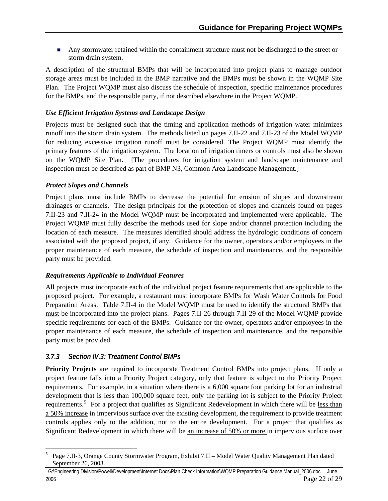Any stormwater retained within the containment structure must not be discharged to the street or storm drain system.

A description of the structural BMPs that will be incorporated into project plans to manage outdoor storage areas must be included in the BMP narrative and the BMPs must be shown in the WQMP Site Plan. The Project WQMP must also discuss the schedule of inspection, specific maintenance procedures for the BMPs, and the responsible party, if not described elsewhere in the Project WQMP.

#### *Use Efficient Irrigation Systems and Landscape Design*

Projects must be designed such that the timing and application methods of irrigation water minimizes runoff into the storm drain system. The methods listed on pages 7.II-22 and 7.II-23 of the Model WQMP for reducing excessive irrigation runoff must be considered. The Project WQMP must identify the primary features of the irrigation system. The location of irrigation timers or controls must also be shown on the WQMP Site Plan. [The procedures for irrigation system and landscape maintenance and inspection must be described as part of BMP N3, Common Area Landscape Management.]

#### *Protect Slopes and Channels*

Project plans must include BMPs to decrease the potential for erosion of slopes and downstream drainages or channels. The design principals for the protection of slopes and channels found on pages 7.II-23 and 7.II-24 in the Model WQMP must be incorporated and implemented were applicable. The Project WQMP must fully describe the methods used for slope and/or channel protection including the location of each measure. The measures identified should address the hydrologic conditions of concern associated with the proposed project, if any. Guidance for the owner, operators and/or employees in the proper maintenance of each measure, the schedule of inspection and maintenance, and the responsible party must be provided.

#### *Requirements Applicable to Individual Features*

All projects must incorporate each of the individual project feature requirements that are applicable to the proposed project. For example, a restaurant must incorporate BMPs for Wash Water Controls for Food Preparation Areas. Table 7.II-4 in the Model WQMP must be used to identify the structural BMPs that must be incorporated into the project plans. Pages 7.II-26 through 7.II-29 of the Model WQMP provide specific requirements for each of the BMPs. Guidance for the owner, operators and/or employees in the proper maintenance of each measure, the schedule of inspection and maintenance, and the responsible party must be provided.

### *3.7.3 Section IV.3: Treatment Control BMPs*

**Priority Projects** are required to incorporate Treatment Control BMPs into project plans. If only a project feature falls into a Priority Project category, only that feature is subject to the Priority Project requirements. For example, in a situation where there is a 6,000 square foot parking lot for an industrial development that is less than 100,000 square feet, only the parking lot is subject to the Priority Project requirements.<sup>[5](#page-21-0)</sup> For a project that qualifies as Significant Redevelopment in which there will be less than a 50% increase in impervious surface over the existing development, the requirement to provide treatment controls applies only to the addition, not to the entire development. For a project that qualifies as Significant Redevelopment in which there will be an increase of 50% or more in impervious surface over

<span id="page-21-0"></span><sup>1</sup> 5 Page 7.II-3, Orange County Stormwater Program, Exhibit 7.II – Model Water Quality Management Plan dated September 26, 2003.

G:\Engineering Division\Powell\Development\Internet Docs\Plan Check Information\WQMP Preparation Guidance Manual\_2006.doc June 2006 Page 22 of 29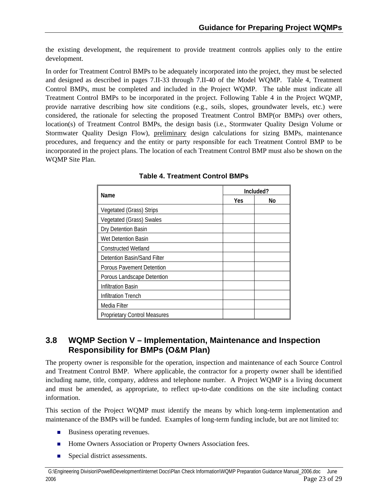<span id="page-22-0"></span>the existing development, the requirement to provide treatment controls applies only to the entire development.

In order for Treatment Control BMPs to be adequately incorporated into the project, they must be selected and designed as described in pages 7.II-33 through 7.II-40 of the Model WQMP. Table 4, Treatment Control BMPs, must be completed and included in the Project WQMP. The table must indicate all Treatment Control BMPs to be incorporated in the project. Following Table 4 in the Project WQMP, provide narrative describing how site conditions (e.g., soils, slopes, groundwater levels, etc.) were considered, the rationale for selecting the proposed Treatment Control BMP(or BMPs) over others, location(s) of Treatment Control BMPs, the design basis (i.e., Stormwater Quality Design Volume or Stormwater Quality Design Flow), preliminary design calculations for sizing BMPs, maintenance procedures, and frequency and the entity or party responsible for each Treatment Control BMP to be incorporated in the project plans. The location of each Treatment Control BMP must also be shown on the WQMP Site Plan.

|                                     | Included? |    |  |
|-------------------------------------|-----------|----|--|
| Name                                | Yes       | No |  |
| Vegetated (Grass) Strips            |           |    |  |
| Vegetated (Grass) Swales            |           |    |  |
| Dry Detention Basin                 |           |    |  |
| Wet Detention Basin                 |           |    |  |
| <b>Constructed Wetland</b>          |           |    |  |
| Detention Basin/Sand Filter         |           |    |  |
| Porous Pavement Detention           |           |    |  |
| Porous Landscape Detention          |           |    |  |
| <b>Infiltration Basin</b>           |           |    |  |
| <b>Infiltration Trench</b>          |           |    |  |
| Media Filter                        |           |    |  |
| <b>Proprietary Control Measures</b> |           |    |  |

|  | <b>Table 4. Treatment Control BMPs</b> |  |
|--|----------------------------------------|--|
|  |                                        |  |

### **3.8 WQMP Section V – Implementation, Maintenance and Inspection Responsibility for BMPs (O&M Plan)**

The property owner is responsible for the operation, inspection and maintenance of each Source Control and Treatment Control BMP. Where applicable, the contractor for a property owner shall be identified including name, title, company, address and telephone number. A Project WQMP is a living document and must be amended, as appropriate, to reflect up-to-date conditions on the site including contact information.

This section of the Project WQMP must identify the means by which long-term implementation and maintenance of the BMPs will be funded. Examples of long-term funding include, but are not limited to:

- $\blacksquare$  Business operating revenues.
- **Home Owners Association or Property Owners Association fees.**
- $\blacksquare$ Special district assessments.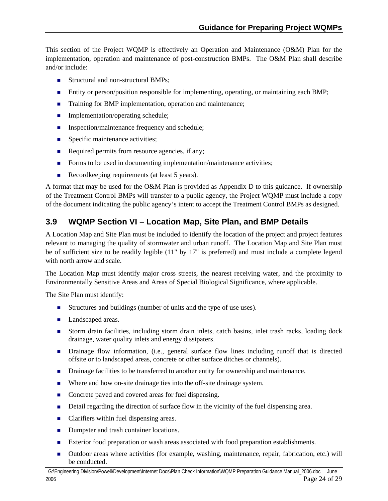<span id="page-23-0"></span>This section of the Project WQMP is effectively an Operation and Maintenance (O&M) Plan for the implementation, operation and maintenance of post-construction BMPs. The O&M Plan shall describe and/or include:

- Structural and non-structural BMPs;
- **Entity or person/position responsible for implementing, operating, or maintaining each BMP;**
- **Training for BMP implementation, operation and maintenance;**
- **Implementation/operating schedule;**
- **Inspection/maintenance frequency and schedule;**
- **Specific maintenance activities;**
- Required permits from resource agencies, if any;
- Forms to be used in documenting implementation/maintenance activities;
- $\blacksquare$ Recordkeeping requirements (at least 5 years).

A format that may be used for the O&M Plan is provided as Appendix D to this guidance. If ownership of the Treatment Control BMPs will transfer to a public agency, the Project WQMP must include a copy of the document indicating the public agency's intent to accept the Treatment Control BMPs as designed.

## **3.9 WQMP Section VI – Location Map, Site Plan, and BMP Details**

A Location Map and Site Plan must be included to identify the location of the project and project features relevant to managing the quality of stormwater and urban runoff. The Location Map and Site Plan must be of sufficient size to be readily legible (11" by 17" is preferred) and must include a complete legend with north arrow and scale.

The Location Map must identify major cross streets, the nearest receiving water, and the proximity to Environmentally Sensitive Areas and Areas of Special Biological Significance, where applicable.

The Site Plan must identify:

- Structures and buildings (number of units and the type of use uses).
- Landscaped areas.
- Storm drain facilities, including storm drain inlets, catch basins, inlet trash racks, loading dock drainage, water quality inlets and energy dissipaters.
- **Drainage flow information, (i.e., general surface flow lines including runoff that is directed** offsite or to landscaped areas, concrete or other surface ditches or channels).
- **Drainage facilities to be transferred to another entity for ownership and maintenance.**
- Where and how on-site drainage ties into the off-site drainage system.
- Concrete paved and covered areas for fuel dispensing.
- Detail regarding the direction of surface flow in the vicinity of the fuel dispensing area.
- Clarifiers within fuel dispensing areas.
- Dumpster and trash container locations.
- $\blacksquare$ Exterior food preparation or wash areas associated with food preparation establishments.
- $\blacksquare$ Outdoor areas where activities (for example, washing, maintenance, repair, fabrication, etc.) will be conducted.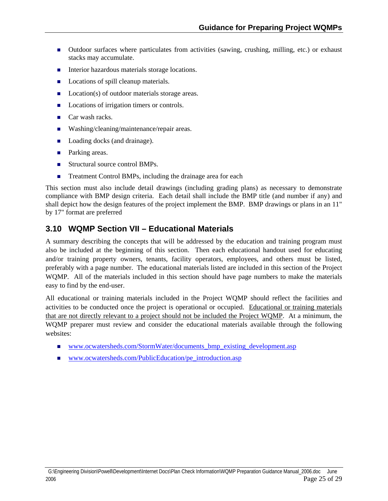- <span id="page-24-0"></span>**Outdoor surfaces where particulates from activities (sawing, crushing, milling, etc.) or exhaust** stacks may accumulate.
- Interior hazardous materials storage locations.
- **Locations of spill cleanup materials.**
- Location(s) of outdoor materials storage areas.
- m. Locations of irrigation timers or controls.
- $\blacksquare$ Car wash racks.
- Ξ Washing/cleaning/maintenance/repair areas.
- m. Loading docks (and drainage).
- **Parking areas.**
- Structural source control BMPs.
- Ē. Treatment Control BMPs, including the drainage area for each

This section must also include detail drawings (including grading plans) as necessary to demonstrate compliance with BMP design criteria. Each detail shall include the BMP title (and number if any) and shall depict how the design features of the project implement the BMP. BMP drawings or plans in an 11" by 17" format are preferred

## **3.10 WQMP Section VII – Educational Materials**

A summary describing the concepts that will be addressed by the education and training program must also be included at the beginning of this section. Then each educational handout used for educating and/or training property owners, tenants, facility operators, employees, and others must be listed, preferably with a page number. The educational materials listed are included in this section of the Project WQMP. All of the materials included in this section should have page numbers to make the materials easy to find by the end-user.

All educational or training materials included in the Project WQMP should reflect the facilities and activities to be conducted once the project is operational or occupied. Educational or training materials that are not directly relevant to a project should not be included the Project WQMP. At a minimum, the WQMP preparer must review and consider the educational materials available through the following websites:

- [www.ocwatersheds.com/StormWater/documents\\_bmp\\_existing\\_development.asp](http://www.ocwatersheds.com/StormWater/documents_bmp_existing_development.asp)
- [www.ocwatersheds.com/PublicEducation/pe\\_introduction.asp](http://www.ocwatersheds.com/PublicEducation/pe_introduction.asp)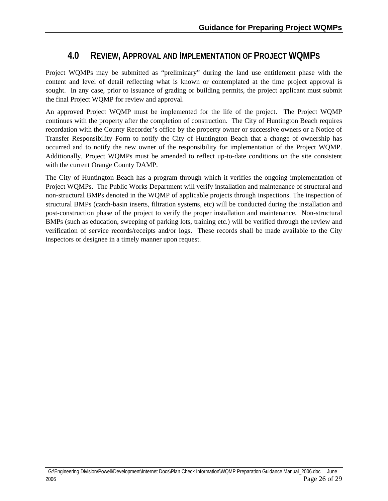## **4.0 REVIEW, APPROVAL AND IMPLEMENTATION OF PROJECT WQMPS**

<span id="page-25-0"></span>Project WQMPs may be submitted as "preliminary" during the land use entitlement phase with the content and level of detail reflecting what is known or contemplated at the time project approval is sought. In any case, prior to issuance of grading or building permits, the project applicant must submit the final Project WQMP for review and approval.

An approved Project WQMP must be implemented for the life of the project. The Project WQMP continues with the property after the completion of construction. The City of Huntington Beach requires recordation with the County Recorder's office by the property owner or successive owners or a Notice of Transfer Responsibility Form to notify the City of Huntington Beach that a change of ownership has occurred and to notify the new owner of the responsibility for implementation of the Project WQMP. Additionally, Project WQMPs must be amended to reflect up-to-date conditions on the site consistent with the current Orange County DAMP.

The City of Huntington Beach has a program through which it verifies the ongoing implementation of Project WQMPs. The Public Works Department will verify installation and maintenance of structural and non-structural BMPs denoted in the WQMP of applicable projects through inspections. The inspection of structural BMPs (catch-basin inserts, filtration systems, etc) will be conducted during the installation and post-construction phase of the project to verify the proper installation and maintenance. Non-structural BMPs (such as education, sweeping of parking lots, training etc.) will be verified through the review and verification of service records/receipts and/or logs. These records shall be made available to the City inspectors or designee in a timely manner upon request.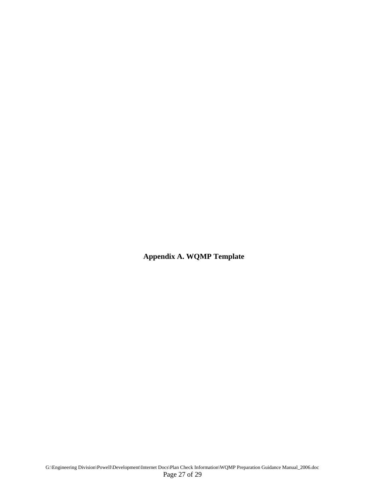**Appendix A. WQMP Template**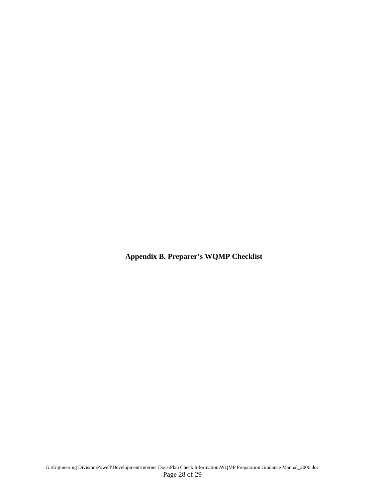**Appendix B. Preparer's WQMP Checklist**